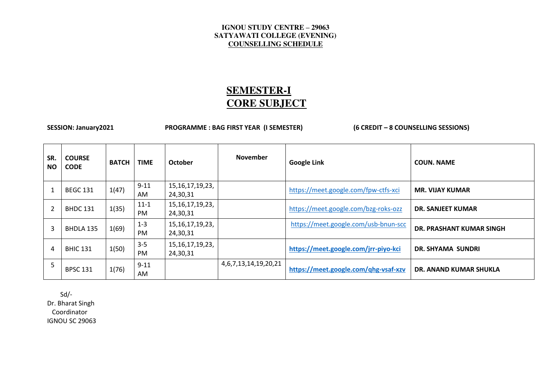# **SEMESTER-I CORE SUBJECT**

SESSION: January2021 **PROGRAMME : BAG FIRST YEAR (I SEMESTER)** (6 CREDIT – 8 COUNSELLING SESSIONS)

| SR.<br><b>NO</b> | <b>COURSE</b><br><b>CODE</b> | <b>BATCH</b> | <b>TIME</b>           | <b>October</b>                  | <b>November</b>             | <b>Google Link</b>                   | <b>COUN. NAME</b>             |
|------------------|------------------------------|--------------|-----------------------|---------------------------------|-----------------------------|--------------------------------------|-------------------------------|
|                  | <b>BEGC 131</b>              | 1(47)        | $9 - 11$<br>AM        | 15, 16, 17, 19, 23,<br>24,30,31 |                             | https://meet.google.com/fpw-ctfs-xci | <b>MR. VIJAY KUMAR</b>        |
|                  | <b>BHDC 131</b>              | 1(35)        | $11 - 1$<br><b>PM</b> | 15, 16, 17, 19, 23,<br>24,30,31 |                             | https://meet.google.com/bzg-roks-ozz | DR. SANJEET KUMAR             |
| 3                | BHDLA 135                    | 1(69)        | $1 - 3$<br><b>PM</b>  | 15, 16, 17, 19, 23,<br>24,30,31 |                             | https://meet.google.com/usb-bnun-scc | DR. PRASHANT KUMAR SINGH      |
| 4                | <b>BHIC 131</b>              | 1(50)        | $3 - 5$<br><b>PM</b>  | 15, 16, 17, 19, 23,<br>24,30,31 |                             | https://meet.google.com/jrr-piyo-kci | DR. SHYAMA SUNDRI             |
| 5                | <b>BPSC 131</b>              | 1(76)        | $9 - 11$<br>AM        |                                 | 4, 6, 7, 13, 14, 19, 20, 21 | https://meet.google.com/qhg-vsaf-xzv | <b>DR. ANAND KUMAR SHUKLA</b> |

Sd/-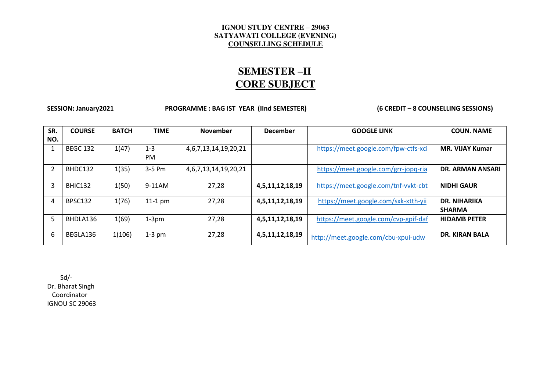# **SEMESTER –II CORE SUBJECT**

SESSION: January2021 **PROGRAMME : BAG IST YEAR (IInd SEMESTER)** (6 CREDIT – 8 COUNSELLING SESSIONS)

| SR.<br>NO. | <b>COURSE</b>   | <b>BATCH</b> | <b>TIME</b>          | <b>November</b>             | <b>December</b> | <b>GOOGLE LINK</b>                   | <b>COUN. NAME</b>                    |
|------------|-----------------|--------------|----------------------|-----------------------------|-----------------|--------------------------------------|--------------------------------------|
|            | <b>BEGC 132</b> | 1(47)        | $1 - 3$<br><b>PM</b> | 4, 6, 7, 13, 14, 19, 20, 21 |                 | https://meet.google.com/fpw-ctfs-xci | <b>MR. VIJAY Kumar</b>               |
|            | BHDC132         | 1(35)        | 3-5 Pm               | 4, 6, 7, 13, 14, 19, 20, 21 |                 | https://meet.google.com/grr-jopq-ria | DR. ARMAN ANSARI                     |
| 3          | BHIC132         | 1(50)        | 9-11AM               | 27,28                       | 4,5,11,12,18,19 | https://meet.google.com/tnf-vvkt-cbt | <b>NIDHI GAUR</b>                    |
| 4          | BPSC132         | 1(76)        | $11-1$ pm            | 27,28                       | 4,5,11,12,18,19 | https://meet.google.com/sxk-xtth-yij | <b>DR. NIHARIKA</b><br><b>SHARMA</b> |
| 5          | BHDLA136        | 1(69)        | $1-3pm$              | 27,28                       | 4,5,11,12,18,19 | https://meet.google.com/cvp-gpif-daf | <b>HIDAMB PETER</b>                  |
| 6          | BEGLA136        | 1(106)       | $1-3$ pm             | 27,28                       | 4,5,11,12,18,19 | http://meet.google.com/cbu-xpui-udw  | <b>DR. KIRAN BALA</b>                |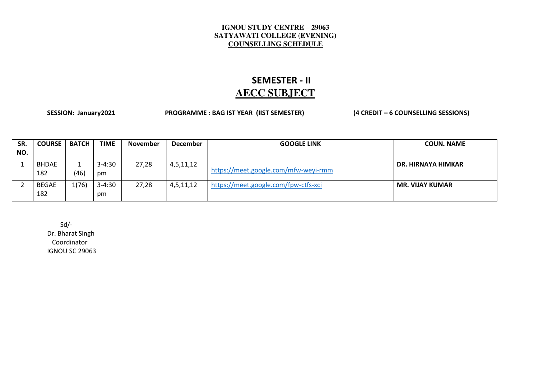### **SEMESTER - II AECC SUBJECT**

SESSION: January2021 **PROGRAMME : BAG IST YEAR (IIST SEMESTER)** (4 CREDIT – 6 COUNSELLING SESSIONS)

| SR. | <b>COURSE</b>       | <b>BATCH</b> | <b>TIME</b>      | <b>November</b> | <b>December</b> | <b>GOOGLE LINK</b>                   | <b>COUN. NAME</b>      |
|-----|---------------------|--------------|------------------|-----------------|-----------------|--------------------------------------|------------------------|
| NO. |                     |              |                  |                 |                 |                                      |                        |
|     | <b>BHDAE</b><br>182 | (46)         | $3 - 4:30$<br>pm | 27,28           | 4,5,11,12       | https://meet.google.com/mfw-weyi-rmm | DR. HIRNAYA HIMKAR     |
|     | <b>BEGAE</b><br>182 | 1(76)        | $3 - 4:30$<br>pm | 27,28           | 4,5,11,12       | https://meet.google.com/fpw-ctfs-xci | <b>MR. VIJAY KUMAR</b> |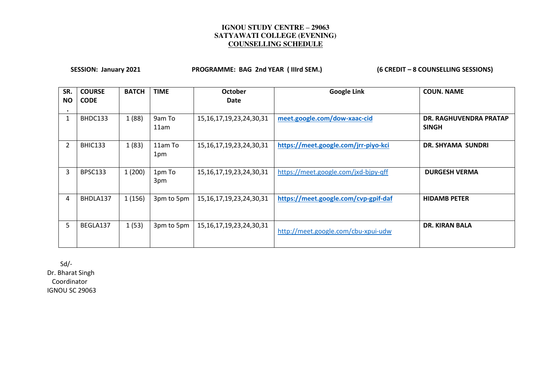SESSION: January 2021 **PROGRAMME: BAG 2nd YEAR (IIIrd SEM.)** (6 CREDIT – 8 COUNSELLING SESSIONS)

| SR.<br>ΝO      | <b>COURSE</b><br><b>CODE</b> | <b>BATCH</b> | <b>TIME</b>    | <b>October</b><br>Date         | <b>Google Link</b>                   | <b>COUN. NAME</b>                      |
|----------------|------------------------------|--------------|----------------|--------------------------------|--------------------------------------|----------------------------------------|
| 1              | BHDC133                      | 1(88)        | 9am To<br>11am | 15, 16, 17, 19, 23, 24, 30, 31 | meet.google.com/dow-xaac-cid         | DR. RAGHUVENDRA PRATAP<br><b>SINGH</b> |
| $\overline{2}$ | BHIC133                      | 1(83)        | 11am To<br>1pm | 15, 16, 17, 19, 23, 24, 30, 31 | https://meet.google.com/jrr-piyo-kci | DR. SHYAMA SUNDRI                      |
| 3              | <b>BPSC133</b>               | 1(200)       | 1pm To<br>3pm  | 15, 16, 17, 19, 23, 24, 30, 31 | https://meet.google.com/jxd-bjpy-qff | <b>DURGESH VERMA</b>                   |
| 4              | BHDLA137                     | 1(156)       | 3pm to 5pm     | 15, 16, 17, 19, 23, 24, 30, 31 | https://meet.google.com/cvp-gpif-daf | <b>HIDAMB PETER</b>                    |
| 5              | BEGLA137                     | 1(53)        | 3pm to 5pm     | 15, 16, 17, 19, 23, 24, 30, 31 | http://meet.google.com/cbu-xpui-udw  | <b>DR. KIRAN BALA</b>                  |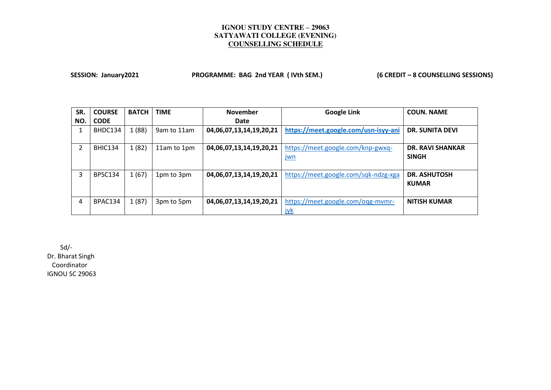SESSION: January2021 **PROGRAMME: BAG 2nd YEAR (IVth SEM.)** (6 CREDIT – 8 COUNSELLING SESSIONS)

| SR. | <b>COURSE</b>  | <b>BATCH</b> | <b>TIME</b> | <b>November</b>         | <b>Google Link</b>                              | <b>COUN. NAME</b>                       |
|-----|----------------|--------------|-------------|-------------------------|-------------------------------------------------|-----------------------------------------|
| NO. | <b>CODE</b>    |              |             | Date                    |                                                 |                                         |
| 1   | BHDC134        | 1(88)        | 9am to 11am | 04,06,07,13,14,19,20,21 | https://meet.google.com/usn-isyy-ani            | <b>DR. SUNITA DEVI</b>                  |
| 2   | BHIC134        | 1(82)        | 11am to 1pm | 04,06,07,13,14,19,20,21 | https://meet.google.com/knp-gwxq-<br><u>jwn</u> | <b>DR. RAVI SHANKAR</b><br><b>SINGH</b> |
| 3   | <b>BPSC134</b> | 1(67)        | 1pm to 3pm  | 04,06,07,13,14,19,20,21 | https://meet.google.com/sqk-ndzg-xga            | <b>DR. ASHUTOSH</b><br><b>KUMAR</b>     |
| 4   | BPAC134        | 1(87)        | 3pm to 5pm  | 04,06,07,13,14,19,20,21 | https://meet.google.com/ogg-mvmr-<br><u>iyk</u> | <b>NITISH KUMAR</b>                     |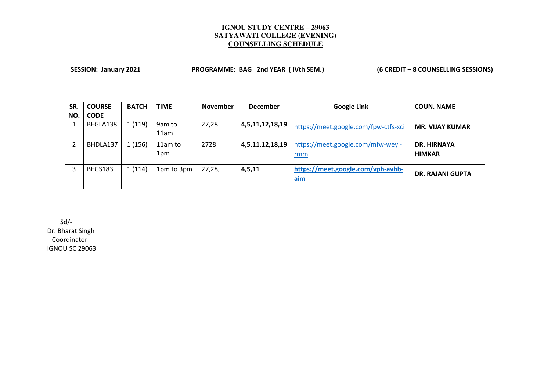SESSION: January 2021 **PROGRAMME: BAG 2nd YEAR (IVth SEM.)** (6 CREDIT – 8 COUNSELLING SESSIONS)

| SR. | <b>COURSE</b> | <b>BATCH</b> | <b>TIME</b>    | <b>November</b> | <b>December</b> | <b>Google Link</b>                       | <b>COUN. NAME</b>                   |
|-----|---------------|--------------|----------------|-----------------|-----------------|------------------------------------------|-------------------------------------|
| NO. | <b>CODE</b>   |              |                |                 |                 |                                          |                                     |
|     | BEGLA138      | 1(119)       | 9am to<br>11am | 27,28           | 4,5,11,12,18,19 | https://meet.google.com/fpw-ctfs-xci     | <b>MR. VIJAY KUMAR</b>              |
|     | BHDLA137      | 1(156)       | 11am to<br>1pm | 2728            | 4,5,11,12,18,19 | https://meet.google.com/mfw-weyi-<br>rmm | <b>DR. HIRNAYA</b><br><b>HIMKAR</b> |
|     | BEGS183       | 1(114)       | 1pm to 3pm     | 27,28,          | 4, 5, 11        | https://meet.google.com/vph-avhb-<br>aim | <b>DR. RAJANI GUPTA</b>             |